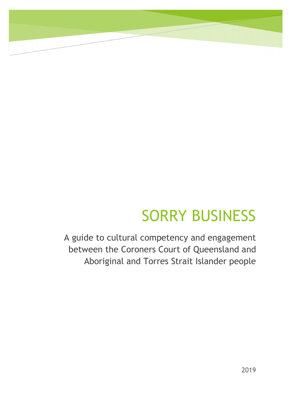# SORRY BUSINESS

A guide to cultural competency and engagement between the Coroners Court of Queensland and Aboriginal and Torres Strait Islander people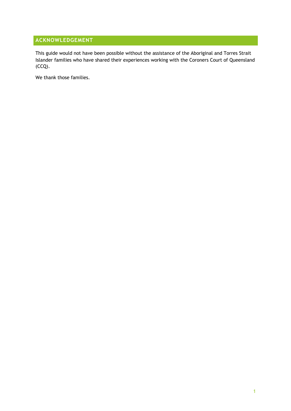## **ACKNOWLEDGEMENT**

This guide would not have been possible without the assistance of the Aboriginal and Torres Strait Islander families who have shared their experiences working with the Coroners Court of Queensland (CCQ).

We thank those families.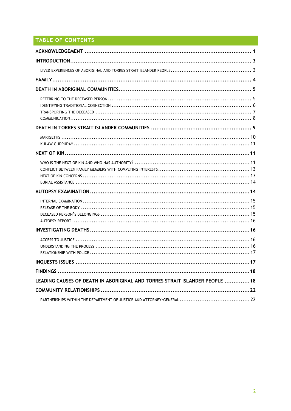# TABLE OF CONTENTS

| LEADING CAUSES OF DEATH IN ABORIGINAL AND TORRES STRAIT ISLANDER PEOPLE  18 |
|-----------------------------------------------------------------------------|
|                                                                             |
|                                                                             |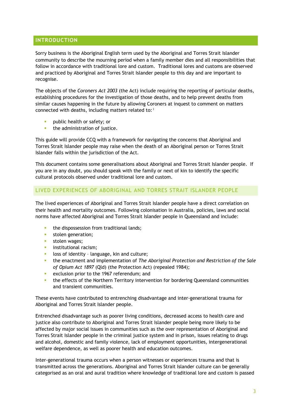## **INTRODUCTION**

Sorry business is the Aboriginal English term used by the Aboriginal and Torres Strait Islander community to describe the mourning period when a family member dies and all responsibilities that follow in accordance with traditional lore and custom. Traditional lores and customs are observed and practiced by Aboriginal and Torres Strait Islander people to this day and are important to recognise.

The objects of the *Coroners Act 2003* (the Act) include requiring the reporting of particular deaths, establishing procedures for the investigation of those deaths, and to help prevent deaths from similar causes happening in the future by allowing Coroners at inquest to comment on matters connected with deaths, including matters related to:<sup>i</sup>

- § public health or safety; or
- **•** the administration of justice.

This guide will provide CCQ with a framework for navigating the concerns that Aboriginal and Torres Strait Islander people may raise when the death of an Aboriginal person or Torres Strait Islander falls within the jurisdiction of the Act.

This document contains some generalisations about Aboriginal and Torres Strait Islander people. If you are in any doubt, you should speak with the family or next of kin to identify the specific cultural protocols observed under traditional lore and custom.

## LIVED EXPERIENCES OF ABORIGINAL AND TORRES STRAIT ISLANDER PEOPLE

The lived experiences of Aboriginal and Torres Strait Islander people have a direct correlation on their health and mortality outcomes. Following colonisation in Australia, policies, laws and social norms have affected Aboriginal and Torres Strait Islander people in Queensland and include:

- the dispossession from traditional lands;
- **stolen generation;**
- **stolen wages:**
- **•** institutional racism;
- **•** loss of identity language, kin and culture;
- § the enactment and implementation of *The Aboriginal Protection and Restriction of the Sale of Opium Act 1897* (Qld) (the Protection Act) (repealed 1984);
- **EXECULTE 1967** referendum; and
- **■** the effects of the Northern Territory intervention for bordering Queensland communities and transient communities.

These events have contributed to entrenching disadvantage and inter-generational trauma for Aboriginal and Torres Strait Islander people.

Entrenched disadvantage such as poorer living conditions, decreased access to health care and justice also contribute to Aboriginal and Torres Strait Islander people being more likely to be affected by major social issues in communities such as the over representation of Aboriginal and Torres Strait Islander people in the criminal justice system and in prison, issues relating to drugs and alcohol, domestic and family violence, lack of employment opportunities, intergenerational welfare dependence, as well as poorer health and education outcomes.

Inter-generational trauma occurs when a person witnesses or experiences trauma and that is transmitted across the generations. Aboriginal and Torres Strait Islander culture can be generally categorised as an oral and aural tradition where knowledge of traditional lore and custom is passed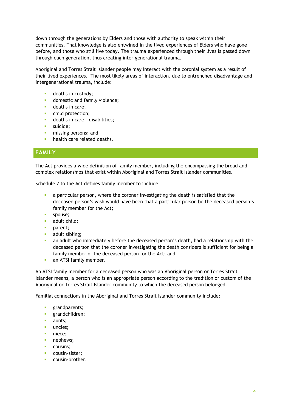down through the generations by Elders and those with authority to speak within their communities. That knowledge is also entwined in the lived experiences of Elders who have gone before, and those who still live today. The trauma experienced through their lives is passed down through each generation, thus creating inter-generational trauma.

Aboriginal and Torres Strait Islander people may interact with the coronial system as a result of their lived experiences. The most likely areas of interaction, due to entrenched disadvantage and intergenerational trauma, include:

- **•** deaths in custody;
- **•** domestic and family violence;
- deaths in care;
- **•** child protection;
- **•** deaths in care disabilities;
- suicide:
- **•** missing persons; and
- **•** health care related deaths.

## **FAMILY**

The Act provides a wide definition of family member, including the encompassing the broad and complex relationships that exist within Aboriginal and Torres Strait Islander communities.

Schedule 2 to the Act defines family member to include:

- a particular person, where the coroner investigating the death is satisfied that the deceased person's wish would have been that a particular person be the deceased person's family member for the Act;
- spouse:
- adult child;
- parent:
- adult sibling;
- an adult who immediately before the deceased person's death, had a relationship with the deceased person that the coroner investigating the death considers is sufficient for being a family member of the deceased person for the Act; and
- an ATSI family member.

An ATSI family member for a deceased person who was an Aboriginal person or Torres Strait Islander means, a person who is an appropriate person according to the tradition or custom of the Aboriginal or Torres Strait Islander community to which the deceased person belonged.

Familial connections in the Aboriginal and Torres Strait Islander community include:

- **•** grandparents;
- § grandchildren;
- **•** aunts:
- uncles:
- niece;
- nephews;
- cousins;
- cousin-sister;
- § cousin-brother.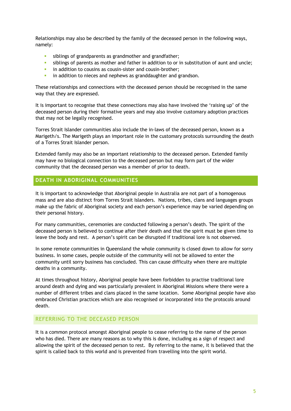Relationships may also be described by the family of the deceased person in the following ways, namely:

- **•** siblings of grandparents as grandmother and grandfather;
- siblings of parents as mother and father in addition to or in substitution of aunt and uncle;
- **•** in addition to cousins as cousin-sister and cousin-brother;
- **•** in addition to nieces and nephews as granddaughter and grandson.

These relationships and connections with the deceased person should be recognised in the same way that they are expressed.

It is important to recognise that these connections may also have involved the 'raising up' of the deceased person during their formative years and may also involve customary adoption practices that may not be legally recognised.

Torres Strait Islander communities also include the in-laws of the deceased person, known as a Marigeth/s. The Marigeth plays an important role in the customary protocols surrounding the death of a Torres Strait Islander person.

Extended family may also be an important relationship to the deceased person. Extended family may have no biological connection to the deceased person but may form part of the wider community that the deceased person was a member of prior to death.

## **DEATH IN ABORIGINAL COMMUNITIES**

It is important to acknowledge that Aboriginal people in Australia are not part of a homogenous mass and are also distinct from Torres Strait Islanders. Nations, tribes, clans and languages groups make up the fabric of Aboriginal society and each person's experience may be varied depending on their personal history.

For many communities, ceremonies are conducted following a person's death. The spirit of the deceased person is believed to continue after their death and that the spirit must be given time to leave the body and rest. A person's spirit can be disrupted if traditional lore is not observed.

In some remote communities in Queensland the whole community is closed down to allow for sorry business. In some cases, people outside of the community will not be allowed to enter the community until sorry business has concluded. This can cause difficulty when there are multiple deaths in a community.

At times throughout history, Aboriginal people have been forbidden to practise traditional lore around death and dying and was particularly prevalent in Aboriginal Missions where there were a number of different tribes and clans placed in the same location. Some Aboriginal people have also embraced Christian practices which are also recognised or incorporated into the protocols around death.

#### REFERRING TO THE DECEASED PERSON

It is a common protocol amongst Aboriginal people to cease referring to the name of the person who has died. There are many reasons as to why this is done, including as a sign of respect and allowing the spirit of the deceased person to rest. By referring to the name, it is believed that the spirit is called back to this world and is prevented from travelling into the spirit world.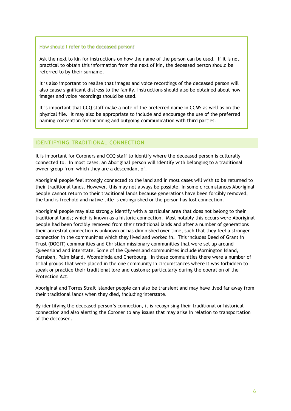#### How should I refer to the deceased person?

Ask the next to kin for instructions on how the name of the person can be used. If it is not practical to obtain this information from the next of kin, the deceased person should be referred to by their surname.

It is also important to realise that images and voice recordings of the deceased person will also cause significant distress to the family. Instructions should also be obtained about how images and voice recordings should be used.

It is important that CCQ staff make a note of the preferred name in CCMS as well as on the physical file. It may also be appropriate to include and encourage the use of the preferred naming convention for incoming and outgoing communication with third parties.

## IDENTIFYING TRADITIONAL CONNECTION

It is important for Coroners and CCQ staff to identify where the deceased person is culturally connected to. In most cases, an Aboriginal person will identify with belonging to a traditional owner group from which they are a descendant of.

Aboriginal people feel strongly connected to the land and in most cases will wish to be returned to their traditional lands. However, this may not always be possible. In some circumstances Aboriginal people cannot return to their traditional lands because generations have been forcibly removed, the land is freehold and native title is extinguished or the person has lost connection.

Aboriginal people may also strongly identify with a particular area that does not belong to their traditional lands; which is known as a historic connection. Most notably this occurs were Aboriginal people had been forcibly removed from their traditional lands and after a number of generations their ancestral connection is unknown or has diminished over time, such that they feel a stronger connection in the communities which they lived and worked in. This includes Deed of Grant in Trust (DOGIT) communities and Christian missionary communities that were set up around Queensland and interstate. Some of the Queensland communities include Mornington Island, Yarrabah, Palm Island, Woorabinda and Cherbourg. In those communities there were a number of tribal groups that were placed in the one community in circumstances where it was forbidden to speak or practice their traditional lore and customs; particularly during the operation of the Protection Act.

Aboriginal and Torres Strait Islander people can also be transient and may have lived far away from their traditional lands when they died, including interstate.

By identifying the deceased person's connection, it is recognising their traditional or historical connection and also alerting the Coroner to any issues that may arise in relation to transportation of the deceased.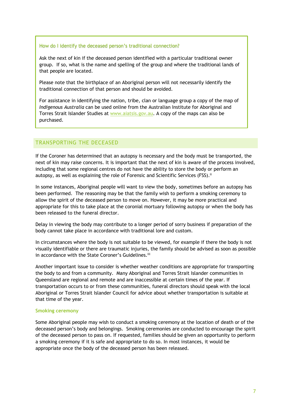#### How do I identify the deceased person's traditional connection?

Ask the next of kin if the deceased person identified with a particular traditional owner group. If so, what is the name and spelling of the group and where the traditional lands of that people are located.

Please note that the birthplace of an Aboriginal person will not necessarily identify the traditional connection of that person and should be avoided.

For assistance in identifying the nation, tribe, clan or language group a copy of the map of *Indigenous Australia* can be used online from the Australian Institute for Aboriginal and Torres Strait Islander Studies at www.aiatsis.gov.au. A copy of the maps can also be purchased.

## TRANSPORTING THE DECEASED

If the Coroner has determined that an autopsy is necessary and the body must be transported, the next of kin may raise concerns. It is important that the next of kin is aware of the process involved, including that some regional centres do not have the ability to store the body or perform an autopsy, as well as explaining the role of Forensic and Scientific Services (FSS).<sup>ii</sup>

In some instances, Aboriginal people will want to view the body, sometimes before an autopsy has been performed. The reasoning may be that the family wish to perform a smoking ceremony to allow the spirit of the deceased person to move on. However, it may be more practical and appropriate for this to take place at the coronial mortuary following autopsy or when the body has been released to the funeral director.

Delay in viewing the body may contribute to a longer period of sorry business if preparation of the body cannot take place in accordance with traditional lore and custom.

In circumstances where the body is not suitable to be viewed, for example if there the body is not visually identifiable or there are traumatic injuries, the family should be advised as soon as possible in accordance with the State Coroner's Guidelines.<sup>iii</sup>

Another important issue to consider is whether weather conditions are appropriate for transporting the body to and from a community. Many Aboriginal and Torres Strait Islander communities in Queensland are regional and remote and are inaccessible at certain times of the year. If transportation occurs to or from these communities, funeral directors should speak with the local Aboriginal or Torres Strait Islander Council for advice about whether transportation is suitable at that time of the year.

#### **Smoking ceremony**

Some Aboriginal people may wish to conduct a smoking ceremony at the location of death or of the deceased person's body and belongings. Smoking ceremonies are conducted to encourage the spirit of the deceased person to pass on. If requested, families should be given an opportunity to perform a smoking ceremony if it is safe and appropriate to do so. In most instances, it would be appropriate once the body of the deceased person has been released.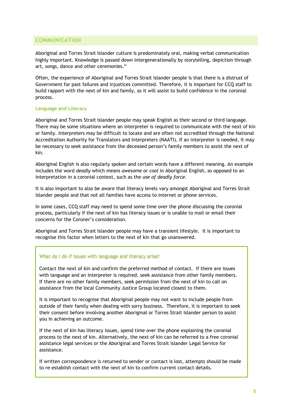## COMMUNICATION

Aboriginal and Torres Strait Islander culture is predominately oral, making verbal communication highly important. Knowledge is passed down intergenerationally by storytelling, depiction through art, songs, dance and other ceremonies.iv

Often, the experience of Aboriginal and Torres Strait Islander people is that there is a distrust of Government for past failures and injustices committed. Therefore, it is important for CCQ staff to build rapport with the next of kin and family, as it will assist to build confidence in the coronial process.

#### **Language and Literacy**

Aboriginal and Torres Strait Islander people may speak English as their second or third language. There may be some situations where an interpreter is required to communicate with the next of kin or family. Interpreters may be difficult to locate and are often not accredited through the National Accreditation Authority for Translators and Interpreters (NAATI). If an interpreter is needed, it may be necessary to seek assistance from the deceased person's family members to assist the next of kin.

Aboriginal English is also regularly spoken and certain words have a different meaning. An example includes the word *deadly* which means *awesome* or *cool* in Aboriginal English, as opposed to an interpretation in a coronial context, such as the *use of deadly force*.

It is also important to also be aware that literacy levels vary amongst Aboriginal and Torres Strait Islander people and that not all families have access to internet or phone services.

In some cases, CCQ staff may need to spend some time over the phone discussing the coronial process, particularly if the next of kin has literacy issues or is unable to mail or email their concerns for the Coroner's consideration.

Aboriginal and Torres Strait Islander people may have a transient lifestyle. It is important to recognise this factor when letters to the next of kin that go unanswered.

#### What do I do if issues with language and literacy arise?

Contact the next of kin and confirm the preferred method of contact. If there are issues with language and an interpreter is required, seek assistance from other family members. If there are no other family members, seek permission from the next of kin to call on assistance from the local Community Justice Group located closest to them.

It is important to recognise that Aboriginal people may not want to include people from outside of their family when dealing with sorry business. Therefore, it is important to seek their consent before involving another Aboriginal or Torres Strait Islander person to assist you in achieving an outcome.

**Gender issues** assistance legal services or the Aboriginal and Torres Strait Islander Legal Service for If the next of kin has literacy issues, spend time over the phone explaining the coronial process to the next of kin. Alternatively, the next of kin can be referred to a free coronial assistance.

If written correspondence is returned to sender or contact is lost, attempts should be made to re-establish contact with the next of kin to confirm current contact details.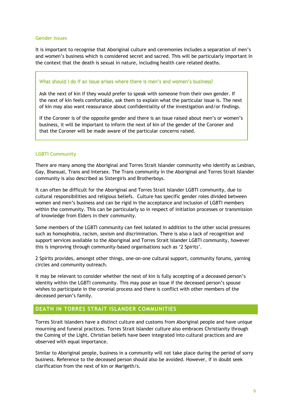#### **Gender Issues**

It is important to recognise that Aboriginal culture and ceremonies includes a separation of men's and women's business which is considered secret and sacred. This will be particularly important in the context that the death is sexual in nature, including health care related deaths.

#### What should I do if an issue arises where there is men's and women's business?

Ask the next of kin if they would prefer to speak with someone from their own gender. If the next of kin feels comfortable, ask them to explain what the particular issue is. The next of kin may also want reassurance about confidentiality of the investigation and/or findings.

If the Coroner is of the opposite gender and there is an issue raised about men's or women's business, it will be important to inform the next of kin of the gender of the Coroner and that the Coroner will be made aware of the particular concerns raised.

#### **LGBTI Community**

There are many among the Aboriginal and Torres Strait Islander community who identify as Lesbian, Gay, Bisexual, Trans and Intersex. The Trans community in the Aboriginal and Torres Strait Islander community is also described as Sistergirls and Brotherboys.

It can often be difficult for the Aboriginal and Torres Strait Islander LGBTI community, due to cultural responsibilities and religious beliefs. Culture has specific gender roles divided between women and men's business and can be rigid in the acceptance and inclusion of LGBTI members within the community. This can be particularly so in respect of initiation processes or transmission of knowledge from Elders in their community.

Some members of the LGBTI community can feel isolated in addition to the other social pressures such as homophobia, racism, sexism and discrimination. There is also a lack of recognition and support services available to the Aboriginal and Torres Strait Islander LGBTI community, however this is improving through community-based organisations such as '2 Spirits'.

2 Spirits provides, amongst other things, one-on-one cultural support, community forums, yarning circles and community outreach.

It may be relevant to consider whether the next of kin is fully accepting of a deceased person's identity within the LGBTI community. This may pose an issue if the deceased person's spouse wishes to participate in the coronial process and there is conflict with other members of the deceased person's family.

## **DEATH IN TORRES STRAIT ISLANDER COMMUNITIES**

Torres Strait Islanders have a distinct culture and customs from Aboriginal people and have unique mourning and funeral practices. Torres Strait Islander culture also embraces Christianity through the Coming of the Light. Christian beliefs have been integrated into cultural practices and are observed with equal importance.

Similar to Aboriginal people, business in a community will not take place during the period of sorry business. Reference to the deceased person should also be avoided. However, if in doubt seek clarification from the next of kin or Marigeth/s.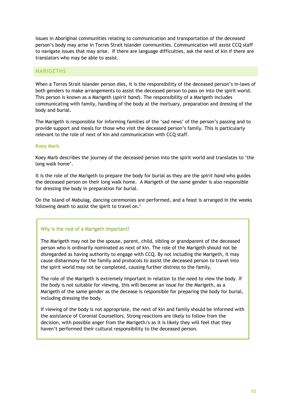Issues in Aboriginal communities relating to communication and transportation of the deceased person's body may arise in Torres Strait Islander communities. Communication will assist CCQ staff to navigate issues that may arise. If there are language difficulties, ask the next of kin if there are translators who may be able to assist.

#### MARIGETHS

When a Torres Strait Islander person dies, it is the responsibility of the deceased person's in-laws of both genders to make arrangements to assist the deceased person to pass on into the spirit world. This person is known as a Marigeth (*spirit hand*). The responsibility of a Marigeth includes communicating with family, handling of the body at the mortuary, preparation and dressing of the body and burial.

The Marigeth is responsible for informing families of the 'sad news' of the person's passing and to provide support and meals for those who visit the deceased person's family. This is particularly relevant to the role of next of kin and communication with CCQ staff.

#### **Koey Marb**

Koey Marb describes the journey of the deceased person into the spirit world and translates to 'the long walk home'.

It is the role of the Marigeth to prepare the body for burial as they are the *spirit hand* who guides the deceased person on their long walk home. A Marigeth of the same gender is also responsible for dressing the body in preparation for burial.

On the Island of Mabuiag, dancing ceremonies are performed, and a feast is arranged in the weeks following death to assist the spirit to travel on. $9$ 

#### Why is the role of a Marigeth important?

The Marigeth may not be the spouse, parent, child, sibling or grandparent of the deceased person who is ordinarily nominated as next of kin. The role of the Marigeth should not be disregarded as having authority to engage with CCQ. By not including the Marigeth, it may cause disharmony for the family and protocols to assist the deceased person to travel into the spirit world may not be completed, causing further distress to the family.

The role of the Marigeth is extremely important in relation to the need to view the body. If the body is not suitable for viewing, this will become an issue for the Marigeth, as a Marigeth of the same gender as the decease is responsible for preparing the body for burial, including dressing the body.

If viewing of the body is not appropriate, the next of kin and family should be informed with the assistance of Coronial Counsellors. Strong reactions are likely to follow from the decision, with possible anger from the Marigeth/s as it is likely they will feel that they haven't performed their cultural responsibility to the deceased person.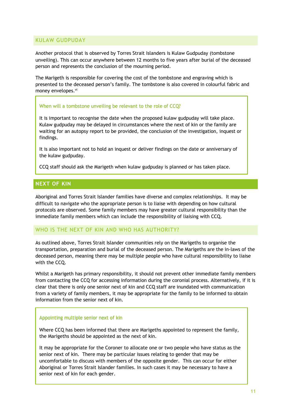## KULAW GUDPUDAY

Another protocol that is observed by Torres Strait Islanders is Kulaw Gudpuday (tombstone unveiling). This can occur anywhere between 12 months to five years after burial of the deceased person and represents the conclusion of the mourning period.

The Marigeth is responsible for covering the cost of the tombstone and engraving which is presented to the deceased person's family. The tombstone is also covered in colourful fabric and money envelopes.<sup>vi</sup>

#### When will a tombstone unveiling be relevant to the role of CCQ?

It is important to recognise the date when the proposed kulaw gudpuday will take place. Kulaw gudpuday may be delayed in circumstances where the next of kin or the family are waiting for an autopsy report to be provided, the conclusion of the investigation, inquest or findings.

It is also important not to hold an inquest or deliver findings on the date or anniversary of the kulaw gudpuday.

CCQ staff should ask the Marigeth when kulaw gudpuday is planned or has taken place.

## **NEXT OF KIN**

Aboriginal and Torres Strait Islander families have diverse and complex relationships. It may be difficult to navigate who the appropriate person is to liaise with depending on how cultural protocols are observed. Some family members may have greater cultural responsibility than the immediate family members which can include the responsibility of liaising with CCQ.

## WHO IS THE NEXT OF KIN AND WHO HAS AUTHORITY?

As outlined above, Torres Strait Islander communities rely on the Marigeths to organise the transportation, preparation and burial of the deceased person. The Marigeths are the in-laws of the deceased person, meaning there may be multiple people who have cultural responsibility to liaise with the CCQ.

Whilst a Marigeth has primary responsibility, it should not prevent other immediate family members from contacting the CCQ for accessing information during the coronial process. Alternatively, if it is clear that there is only one senior next of kin and CCQ staff are inundated with communication from a variety of family members, it may be appropriate for the family to be informed to obtain information from the senior next of kin.

#### Appointing multiple senior next of kin

Where CCQ has been informed that there are Marigeths appointed to represent the family, the Marigeths should be appointed as the next of kin.

It may be appropriate for the Coroner to allocate one or two people who have status as the senior next of kin. There may be particular issues relating to gender that may be uncomfortable to discuss with members of the opposite gender. This can occur for either Aboriginal or Torres Strait Islander families. In such cases it may be necessary to have a senior next of kin for each gender.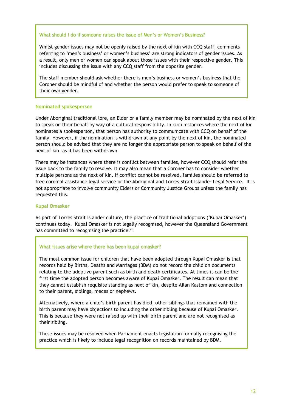#### What should I do if someone raises the issue of Men's or Women's Business?

Whilst gender issues may not be openly raised by the next of kin with CCQ staff, comments referring to 'men's business' or women's business' are strong indicators of gender issues. As a result, only men or women can speak about those issues with their respective gender. This includes discussing the issue with any CCQ staff from the opposite gender.

The staff member should ask whether there is men's business or women's business that the Coroner should be mindful of and whether the person would prefer to speak to someone of their own gender.

#### **Nominated spokesperson**

Under Aboriginal traditional lore, an Elder or a family member may be nominated by the next of kin to speak on their behalf by way of a cultural responsibility. In circumstances where the next of kin nominates a spokesperson, that person has authority to communicate with CCQ on behalf of the family. However, if the nomination is withdrawn at any point by the next of kin, the nominated person should be advised that they are no longer the appropriate person to speak on behalf of the next of kin, as it has been withdrawn.

There may be instances where there is conflict between families, however CCQ should refer the issue back to the family to resolve. It may also mean that a Coroner has to consider whether multiple persons as the next of kin. If conflict cannot be resolved, families should be referred to free coronial assistance legal service or the Aboriginal and Torres Strait Islander Legal Service. It is not appropriate to involve community Elders or Community Justice Groups unless the family has requested this.

#### **Kupai Omasker**

As part of Torres Strait Islander culture, the practice of traditional adoptions ('Kupai Omasker') continues today. Kupai Omasker is not legally recognised, however the Queensland Government has committed to recognising the practice.<sup>vii</sup>

#### What issues arise where there has been kupai omasker?

The most common issue for children that have been adopted through Kupai Omasker is that records held by Births, Deaths and Marriages (BDM) do not record the child on documents relating to the adoptive parent such as birth and death certificates. At times it can be the first time the adopted person becomes aware of Kupai Omasker. The result can mean that they cannot establish requisite standing as next of kin, despite Ailan Kastom and connection to their parent, siblings, nieces or nephews.

Alternatively, where a child's birth parent has died, other siblings that remained with the birth parent may have objections to including the other sibling because of Kupai Omasker. This is because they were not raised up with their birth parent and are not recognised as their sibling.

These issues may be resolved when Parliament enacts legislation formally recognising the practice which is likely to include legal recognition on records maintained by BDM.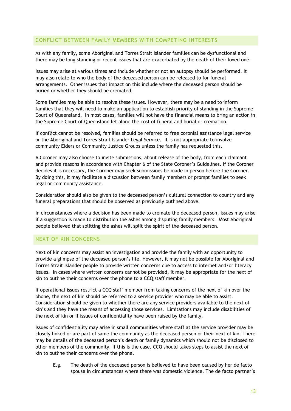## CONFLICT BETWEEN FAMILY MEMBERS WITH COMPETING INTERESTS

As with any family, some Aboriginal and Torres Strait Islander families can be dysfunctional and there may be long standing or recent issues that are exacerbated by the death of their loved one.

Issues may arise at various times and include whether or not an autopsy should be performed. It may also relate to who the body of the deceased person can be released to for funeral arrangements. Other issues that impact on this include where the deceased person should be buried or whether they should be cremated.

Some families may be able to resolve these issues. However, there may be a need to inform families that they will need to make an application to establish priority of standing in the Supreme Court of Queensland. In most cases, families will not have the financial means to bring an action in the Supreme Court of Queensland let alone the cost of funeral and burial or cremation.

If conflict cannot be resolved, families should be referred to free coronial assistance legal service or the Aboriginal and Torres Strait Islander Legal Service. It is not appropriate to involve community Elders or Community Justice Groups unless the family has requested this.

A Coroner may also choose to invite submissions, about release of the body, from each claimant and provide reasons in accordance with Chapter 6 of the State Coroner's Guidelines. If the Coroner decides it is necessary, the Coroner may seek submissions be made in person before the Coroner. By doing this, it may facilitate a discussion between family members or prompt families to seek legal or community assistance.

Consideration should also be given to the deceased person's cultural connection to country and any funeral preparations that should be observed as previously outlined above.

In circumstances where a decision has been made to cremate the deceased person, issues may arise if a suggestion is made to distribution the ashes among disputing family members. Most Aboriginal people believed that splitting the ashes will split the spirit of the deceased person.

## NEXT OF KIN CONCERNS

Next of kin concerns may assist an investigation and provide the family with an opportunity to provide a glimpse of the deceased person's life. However, it may not be possible for Aboriginal and Torres Strait Islander people to provide written concerns due to access to internet and/or literacy issues. In cases where written concerns cannot be provided, it may be appropriate for the next of kin to outline their concerns over the phone to a CCQ staff member.

If operational issues restrict a CCQ staff member from taking concerns of the next of kin over the phone, the next of kin should be referred to a service provider who may be able to assist. Consideration should be given to whether there are any service providers available to the next of kin's and they have the means of accessing those services. Limitations may include disabilities of the next of kin or if issues of confidentiality have been raised by the family.

Issues of confidentiality may arise in small communities where staff at the service provider may be closely linked or are part of same the community as the deceased person or their next of kin. There may be details of the deceased person's death or family dynamics which should not be disclosed to other members of the community. If this is the case, CCQ should takes steps to assist the next of kin to outline their concerns over the phone.

E.g. The death of the deceased person is believed to have been caused by her de facto spouse in circumstances where there was domestic violence. The de facto partner's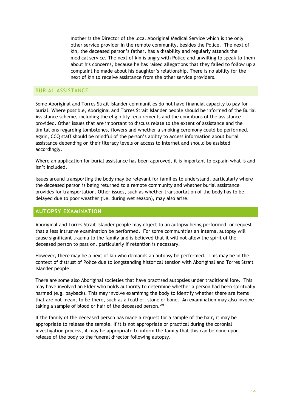mother is the Director of the local Aboriginal Medical Service which is the only other service provider in the remote community, besides the Police. The next of kin, the deceased person's father, has a disability and regularly attends the medical service. The next of kin is angry with Police and unwilling to speak to them about his concerns, because he has raised allegations that they failed to follow up a complaint he made about his daughter's relationship. There is no ability for the next of kin to receive assistance from the other service providers.

#### BURIAL ASSISTANCE

Some Aboriginal and Torres Strait Islander communities do not have financial capacity to pay for burial. Where possible, Aboriginal and Torres Strait Islander people should be informed of the Burial Assistance scheme, including the eligibility requirements and the conditions of the assistance provided. Other issues that are important to discuss relate to the extent of assistance and the limitations regarding tombstones, flowers and whether a smoking ceremony could be performed. Again, CCQ staff should be mindful of the person's ability to access information about burial assistance depending on their literacy levels or access to internet and should be assisted accordingly.

Where an application for burial assistance has been approved, it is important to explain what is and isn't included.

Issues around transporting the body may be relevant for families to understand, particularly where the deceased person is being returned to a remote community and whether burial assistance provides for transportation. Other issues, such as whether transportation of the body has to be delayed due to poor weather (i.e. during wet season), may also arise.

## **AUTOPSY EXAMINATION**

Aboriginal and Torres Strait Islander people may object to an autopsy being performed, or request that a less intrusive examination be performed. For some communities an internal autopsy will cause significant trauma to the family and is believed that it will not allow the spirit of the deceased person to pass on, particularly if retention is necessary.

However, there may be a next of kin who demands an autopsy be performed. This may be in the context of distrust of Police due to longstanding historical tension with Aboriginal and Torres Strait Islander people.

There are some also Aboriginal societies that have practised autopsies under traditional lore. This may have involved an Elder who holds authority to determine whether a person had been spiritually harmed (e.g. payback). This may involve examining the body to identify whether there are items that are not meant to be there, such as a feather, stone or bone. An examination may also involve taking a sample of blood or hair of the deceased person. Viii

If the family of the deceased person has made a request for a sample of the hair, it may be appropriate to release the sample. If it is not appropriate or practical during the coronial investigation process, it may be appropriate to inform the family that this can be done upon release of the body to the funeral director following autopsy.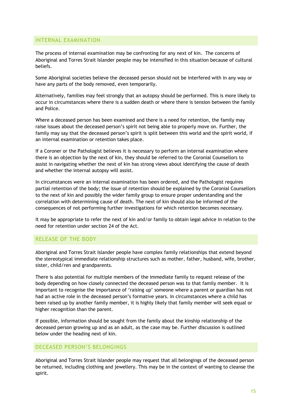## INTERNAL EXAMINATION

The process of internal examination may be confronting for any next of kin. The concerns of Aboriginal and Torres Strait Islander people may be intensified in this situation because of cultural beliefs.

Some Aboriginal societies believe the deceased person should not be interfered with in any way or have any parts of the body removed, even temporarily.

Alternatively, families may feel strongly that an autopsy should be performed. This is more likely to occur in circumstances where there is a sudden death or where there is tension between the family and Police.

Where a deceased person has been examined and there is a need for retention, the family may raise issues about the deceased person's spirit not being able to properly move on. Further, the family may say that the deceased person's spirit is split between this world and the spirit world, if an internal examination or retention takes place.

If a Coroner or the Pathologist believes it is necessary to perform an internal examination where there is an objection by the next of kin, they should be referred to the Coronial Counsellors to assist in navigating whether the next of kin has strong views about identifying the cause of death and whether the internal autopsy will assist.

In circumstances were an internal examination has been ordered, and the Pathologist requires partial retention of the body; the issue of retention should be explained by the Coronial Counsellors to the next of kin and possibly the wider family group to ensure proper understanding and the correlation with determining cause of death. The next of kin should also be informed of the consequences of not performing further investigations for which retention becomes necessary.

It may be appropriate to refer the next of kin and/or family to obtain legal advice in relation to the need for retention under section 24 of the Act.

## RELEASE OF THE BODY

Aboriginal and Torres Strait Islander people have complex family relationships that extend beyond the stereotypical immediate relationship structures such as mother, father, husband, wife, brother, sister, child/ren and grandparents.

There is also potential for multiple members of the immediate family to request release of the body depending on how closely connected the deceased person was to that family member. It is important to recognise the importance of 'raising up' someone where a parent or guardian has not had an active role in the deceased person's formative years. In circumstances where a child has been raised up by another family member, it is highly likely that family member will seek equal or higher recognition than the parent.

If possible, information should be sought from the family about the kinship relationship of the deceased person growing up and as an adult, as the case may be. Further discussion is outlined below under the heading next of kin.

## DECEASED PERSON'S BELONGINGS

Aboriginal and Torres Strait Islander people may request that all belongings of the deceased person be returned, including clothing and jewellery. This may be in the context of wanting to cleanse the spirit.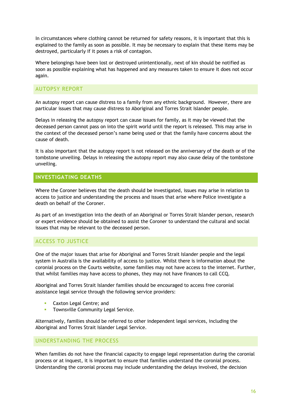In circumstances where clothing cannot be returned for safety reasons, it is important that this is explained to the family as soon as possible. It may be necessary to explain that these items may be destroyed, particularly if it poses a risk of contagion.

Where belongings have been lost or destroyed unintentionally, next of kin should be notified as soon as possible explaining what has happened and any measures taken to ensure it does not occur again.

## AUTOPSY REPORT

An autopsy report can cause distress to a family from any ethnic background. However, there are particular issues that may cause distress to Aboriginal and Torres Strait Islander people.

Delays in releasing the autopsy report can cause issues for family, as it may be viewed that the deceased person cannot pass on into the spirit world until the report is released. This may arise in the context of the deceased person's name being used or that the family have concerns about the cause of death.

It is also important that the autopsy report is not released on the anniversary of the death or of the tombstone unveiling. Delays in releasing the autopsy report may also cause delay of the tombstone unveiling.

## **INVESTIGATING DEATHS**

Where the Coroner believes that the death should be investigated, issues may arise in relation to access to justice and understanding the process and issues that arise where Police investigate a death on behalf of the Coroner.

As part of an investigation into the death of an Aboriginal or Torres Strait Islander person, research or expert evidence should be obtained to assist the Coroner to understand the cultural and social issues that may be relevant to the deceased person.

## ACCESS TO JUSTICE

One of the major issues that arise for Aboriginal and Torres Strait Islander people and the legal system in Australia is the availability of access to justice. Whilst there is information about the coronial process on the Courts website, some families may not have access to the internet. Further, that whilst families may have access to phones, they may not have finances to call CCQ.

Aboriginal and Torres Strait Islander families should be encouraged to access free coronial assistance legal service through the following service providers:

- § Caxton Legal Centre; and
- **•** Townsville Community Legal Service.

Alternatively, families should be referred to other independent legal services, including the Aboriginal and Torres Strait Islander Legal Service.

## UNDERSTANDING THE PROCESS

When families do not have the financial capacity to engage legal representation during the coronial process or at inquest, it is important to ensure that families understand the coronial process. Understanding the coronial process may include understanding the delays involved, the decision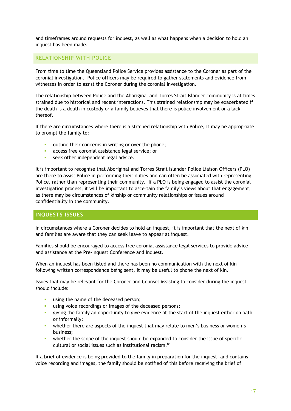and timeframes around requests for inquest, as well as what happens when a decision to hold an inquest has been made.

### RELATIONSHIP WITH POLICE

From time to time the Queensland Police Service provides assistance to the Coroner as part of the coronial investigation. Police officers may be required to gather statements and evidence from witnesses in order to assist the Coroner during the coronial investigation.

The relationship between Police and the Aboriginal and Torres Strait Islander community is at times strained due to historical and recent interactions. This strained relationship may be exacerbated if the death is a death in custody or a family believes that there is police involvement or a lack thereof.

If there are circumstances where there is a strained relationship with Police, it may be appropriate to prompt the family to:

- outline their concerns in writing or over the phone;
- **access free coronial assistance legal service; or**
- **•** seek other independent legal advice.

It is important to recognise that Aboriginal and Torres Strait Islander Police Liaison Officers (PLO) are there to assist Police in performing their duties and can often be associated with representing Police, rather than representing their community. If a PLO is being engaged to assist the coronial investigation process, it will be important to ascertain the family's views about that engagement, as there may be circumstances of kinship or community relationships or issues around confidentiality in the community.

## **INQUESTS ISSUES**

In circumstances where a Coroner decides to hold an inquest, it is important that the next of kin and families are aware that they can seek leave to appear at inquest.

Families should be encouraged to access free coronial assistance legal services to provide advice and assistance at the Pre-Inquest Conference and Inquest.

When an inquest has been listed and there has been no communication with the next of kin following written correspondence being sent, it may be useful to phone the next of kin.

Issues that may be relevant for the Coroner and Counsel Assisting to consider during the inquest should include:

- **■** using the name of the deceased person;
- using voice recordings or images of the deceased persons;
- § giving the family an opportunity to give evidence at the start of the inquest either on oath or informally;
- whether there are aspects of the inquest that may relate to men's business or women's business;
- whether the scope of the inquest should be expanded to consider the issue of specific cultural or social issues such as institutional racism.<sup>ix</sup>

If a brief of evidence is being provided to the family in preparation for the inquest, and contains voice recording and images, the family should be notified of this before receiving the brief of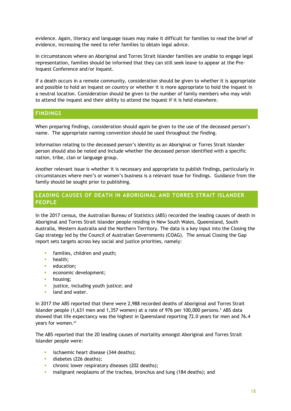evidence. Again, literacy and language issues may make it difficult for families to read the brief of evidence, increasing the need to refer families to obtain legal advice.

In circumstances where an Aboriginal and Torres Strait Islander families are unable to engage legal representation, families should be informed that they can still seek leave to appear at the Pre-Inquest Conference and/or Inquest.

If a death occurs in a remote community, consideration should be given to whether it is appropriate and possible to hold an inquest on country or whether it is more appropriate to hold the inquest in a neutral location. Consideration should be given to the number of family members who may wish to attend the inquest and their ability to attend the inquest if it is held elsewhere.

#### **FINDINGS**

When preparing findings, consideration should again be given to the use of the deceased person's name. The appropriate naming convention should be used throughout the finding.

Information relating to the deceased person's identity as an Aboriginal or Torres Strait Islander person should also be noted and include whether the deceased person identified with a specific nation, tribe, clan or language group.

Another relevant issue is whether it is necessary and appropriate to publish findings, particularly in circumstances where men's or women's business is a relevant issue for findings. Guidance from the family should be sought prior to publishing.

## **LEADING CAUSES OF DEATH IN ABORIGINAL AND TORRES STRAIT ISLANDER PEOPLE**

In the 2017 census, the Australian Bureau of Statistics (ABS) recorded the leading causes of death in Aboriginal and Torres Strait Islander people residing in New South Wales, Queensland, South Australia, Western Australia and the Northern Territory. The data is a key input into the Closing the Gap strategy led by the Council of Australian Governments (COAG). The annual Closing the Gap report sets targets across key social and justice priorities, namely:

- **•** families, children and youth;
- **•** health:
- education:
- **•** economic development;
- housing;
- **•** justice, including youth justice; and
- **E** land and water.

In 2017 the ABS reported that there were 2,988 recorded deaths of Aboriginal and Torres Strait Islander people (1,631 men and 1,357 women) at a rate of 976 per 100,000 persons.<sup>x</sup> ABS data showed that life expectancy was the highest in Queensland reporting 72.0 years for men and 76.4 years for women.<sup>xi</sup>

The ABS reported that the 20 leading causes of mortality amongst Aboriginal and Torres Strait Islander people were:

- **•** ischaemic heart disease (344 deaths);
- **diabetes (226 deaths);**
- **•** chronic lower respiratory diseases (202 deaths);
- **•** malignant neoplasms of the trachea, bronchus and lung (184 deaths); and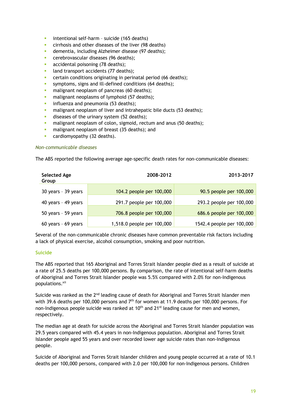- § intentional self-harm suicide (165 deaths)
- **EXECT** cirrhosis and other diseases of the liver (98 deaths)
- **•** dementia, including Alzheimer disease (97 deaths);
- **EXEC** cerebrovascular diseases (96 deaths);
- **accidental poisoning (78 deaths);**
- land transport accidents (77 deaths);
- **•** certain conditions originating in perinatal period (66 deaths);
- **EXECUTE:** symptoms, signs and ill-defined conditions (64 deaths);
- malignant neoplasm of pancreas (60 deaths);
- **•** malignant neoplasms of lymphoid (57 deaths);
- **•** influenza and pneumonia (53 deaths);
- **•** malignant neoplasm of liver and intrahepatic bile ducts (53 deaths);
- **•** diseases of the urinary system (52 deaths);
- malignant neoplasm of colon, sigmoid, rectum and anus (50 deaths);
- **•** malignant neoplasm of breast (35 deaths); and
- **•** cardiomyopathy (32 deaths).

#### *Non-communicable diseases*

The ABS reported the following average age-specific death rates for non-communicable diseases:

| <b>Selected Age</b><br>Group | 2008-2012                  | 2013-2017                 |
|------------------------------|----------------------------|---------------------------|
| 30 years - 39 years          | 104.2 people per 100,000   | 90.5 people per 100,000   |
| 40 years - 49 years          | 291.7 people per 100,000   | 293.2 people per 100,000  |
| 50 years - 59 years          | 706.8 people per 100,000   | 686.6 people per 100,000  |
| 60 years - 69 years          | 1,518.0 people per 100,000 | 1542.4 people per 100,000 |

Several of the non-communicable chronic diseases have common preventable risk factors including a lack of physical exercise, alcohol consumption, smoking and poor nutrition.

#### **Suicide**

The ABS reported that 165 Aboriginal and Torres Strait Islander people died as a result of suicide at a rate of 25.5 deaths per 100,000 persons. By comparison, the rate of intentional self-harm deaths of Aboriginal and Torres Strait Islander people was 5.5% compared with 2.0% for non-Indigenous populations.xii

Suicide was ranked as the 2<sup>nd</sup> leading cause of death for Aboriginal and Torres Strait Islander men with 39.6 deaths per 100,000 persons and 7<sup>th</sup> for women at 11.9 deaths per 100,000 persons. For non-Indigenous people suicide was ranked at  $10<sup>th</sup>$  and  $21<sup>st</sup>$  leading cause for men and women, respectively.

The median age at death for suicide across the Aboriginal and Torres Strait Islander population was 29.5 years compared with 45.4 years in non-Indigenous population. Aboriginal and Torres Strait Islander people aged 55 years and over recorded lower age suicide rates than non-Indigenous people.

Suicide of Aboriginal and Torres Strait Islander children and young people occurred at a rate of 10.1 deaths per 100,000 persons, compared with 2.0 per 100,000 for non-Indigenous persons. Children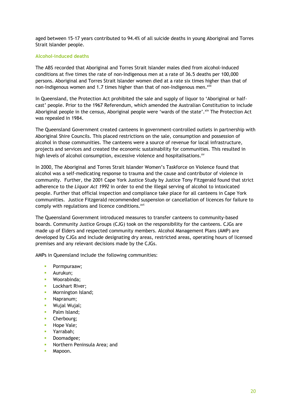aged between 15-17 years contributed to 94.4% of all suicide deaths in young Aboriginal and Torres Strait Islander people.

#### **Alcohol-induced deaths**

The ABS recorded that Aboriginal and Torres Strait Islander males died from alcohol-induced conditions at five times the rate of non-Indigenous men at a rate of 36.5 deaths per 100,000 persons. Aboriginal and Torres Strait Islander women died at a rate six times higher than that of non-Indigenous women and 1.7 times higher than that of non-Indigenous men.<sup>xiii</sup>

In Queensland, the Protection Act prohibited the sale and supply of liquor to 'Aboriginal or halfcast' people. Prior to the 1967 Referendum, which amended the Australian Constitution to include Aboriginal people in the census, Aboriginal people were 'wards of the state'. Xiv The Protection Act was repealed in 1984.

The Queensland Government created canteens in government-controlled outlets in partnership with Aboriginal Shire Councils. This placed restrictions on the sale, consumption and possession of alcohol in those communities. The canteens were a source of revenue for local infrastructure, projects and services and created the economic sustainability for communities. This resulted in high levels of alcohol consumption, excessive violence and hospitalisations.<sup>xv</sup>

In 2000, The Aboriginal and Torres Strait Islander Women's Taskforce on Violence found that alcohol was a self-medicating response to trauma and the cause and contributor of violence in community. Further, the 2001 Cape York Justice Study by Justice Tony Fitzgerald found that strict adherence to the *Liquor Act 1992* in order to end the illegal serving of alcohol to intoxicated people. Further that official inspection and compliance take place for all canteens in Cape York communities. Justice Fitzgerald recommended suspension or cancellation of licences for failure to comply with regulations and licence conditions.<sup>xvi</sup>

The Queensland Government introduced measures to transfer canteens to community-based boards. Community Justice Groups (CJG) took on the responsibility for the canteens. CJGs are made up of Elders and respected community members. Alcohol Management Plans (AMP) are developed by CJGs and include designating dry areas, restricted areas, operating hours of licensed premises and any relevant decisions made by the CJGs.

AMPs in Queensland include the following communities:

- Pormpuraaw;
- Aurukun;
- § Woorabinda;
- **E** Lockhart River:
- **•** Mornington Island;
- Napranum;
- Wujal Wujal;
- Palm Island;
- Cherbourg;
- Hope Vale:
- § Yarrabah;
- Doomadgee;
- § Northern Peninsula Area; and
- Mapoon.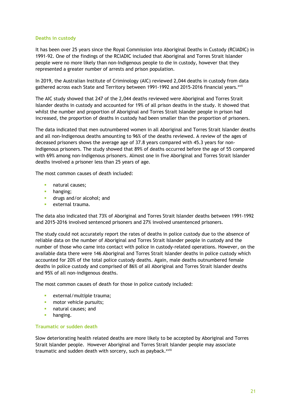#### **Deaths in custody**

It has been over 25 years since the Royal Commission into Aboriginal Deaths in Custody (RCIADIC) in 1991-92. One of the findings of the RCIADIC included that Aboriginal and Torres Strait Islander people were no more likely than non-Indigenous people to die in custody, however that they represented a greater number of arrests and prison population.

In 2019, the Australian Institute of Criminology (AIC) reviewed 2,044 deaths in custody from data gathered across each State and Territory between 1991-1992 and 2015-2016 financial years.<sup>xvii</sup>

The AIC study showed that 247 of the 2,044 deaths reviewed were Aboriginal and Torres Strait Islander deaths in custody and accounted for 19% of all prison deaths in the study. It showed that whilst the number and proportion of Aboriginal and Torres Strait Islander people in prison had increased, the proportion of deaths in custody had been smaller than the proportion of prisoners.

The data indicated that men outnumbered women in all Aboriginal and Torres Strait Islander deaths and all non-Indigenous deaths amounting to 96% of the deaths reviewed. A review of the ages of deceased prisoners shows the average age of 37.8 years compared with 45.3 years for non-Indigenous prisoners. The study showed that 89% of deaths occurred before the age of 55 compared with 69% among non-Indigenous prisoners. Almost one in five Aboriginal and Torres Strait Islander deaths involved a prisoner less than 25 years of age.

The most common causes of death included:

- § natural causes;
- hanging;
- **a** drugs and/or alcohol; and
- § external trauma.

The data also indicated that 73% of Aboriginal and Torres Strait Islander deaths between 1991-1992 and 2015-2016 involved sentenced prisoners and 27% involved unsentenced prisoners.

The study could not accurately report the rates of deaths in police custody due to the absence of reliable data on the number of Aboriginal and Torres Strait Islander people in custody and the number of those who came into contact with police in custody-related operations. However, on the available data there were 146 Aboriginal and Torres Strait Islander deaths in police custody which accounted for 20% of the total police custody deaths. Again, male deaths outnumbered female deaths in police custody and comprised of 86% of all Aboriginal and Torres Strait Islander deaths and 95% of all non-indigenous deaths.

The most common causes of death for those in police custody included:

- external/multiple trauma;
- **•** motor vehicle pursuits;
- **•** natural causes; and
- hanging.

#### **Traumatic or sudden death**

Slow deteriorating health related deaths are more likely to be accepted by Aboriginal and Torres Strait Islander people. However Aboriginal and Torres Strait Islander people may associate traumatic and sudden death with sorcery, such as payback.<sup>xviii</sup>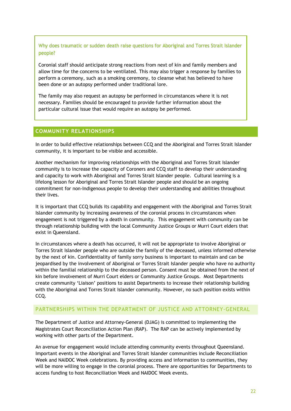Why does traumatic or sudden death raise questions for Aboriginal and Torres Strait Islander people?

Coronial staff should anticipate strong reactions from next of kin and family members and allow time for the concerns to be ventilated. This may also trigger a response by families to perform a ceremony, such as a smoking ceremony, to cleanse what has believed to have been done or an autopsy performed under traditional lore.

The family may also request an autopsy be performed in circumstances where it is not necessary. Families should be encouraged to provide further information about the particular cultural issue that would require an autopsy be performed.

## **COMMUNITY RELATIONSHIPS**

In order to build effective relationships between CCQ and the Aboriginal and Torres Strait Islander community, it is important to be visible and accessible.

Another mechanism for improving relationships with the Aboriginal and Torres Strait Islander community is to increase the capacity of Coroners and CCQ staff to develop their understanding and capacity to work with Aboriginal and Torres Strait Islander people. Cultural learning is a lifelong lesson for Aboriginal and Torres Strait Islander people and should be an ongoing commitment for non-Indigenous people to develop their understanding and abilities throughout their lives.

It is important that CCQ builds its capability and engagement with the Aboriginal and Torres Strait Islander community by increasing awareness of the coronial process in circumstances when engagement is not triggered by a death in community. This engagement with community can be through relationship building with the local Community Justice Groups or Murri Court elders that exist in Queensland.

In circumstances where a death has occurred, it will not be appropriate to involve Aboriginal or Torres Strait Islander people who are outside the family of the deceased, unless informed otherwise by the next of kin. Confidentiality of family sorry business is important to maintain and can be jeopardised by the involvement of Aboriginal or Torres Strait Islander people who have no authority within the familial relationship to the deceased person. Consent must be obtained from the next of kin before involvement of Murri Court elders or Community Justice Groups. Most Departments create community 'Liaison' positions to assist Departments to increase their relationship building with the Aboriginal and Torres Strait Islander community. However, no such position exists within CCQ.

## PARTNERSHIPS WITHIN THE DEPARTMENT OF JUSTICE AND ATTORNEY-GENERAL

The Department of Justice and Attorney-General (DJAG) is committed to implementing the Magistrates Court Reconciliation Action Plan (RAP). The RAP can be actively implemented by working with other parts of the Department.

An avenue for engagement would include attending community events throughout Queensland. Important events in the Aboriginal and Torres Strait Islander communities include Reconciliation Week and NAIDOC Week celebrations. By providing access and information to communities, they will be more willing to engage in the coronial process. There are opportunities for Departments to access funding to host Reconciliation Week and NAIDOC Week events.